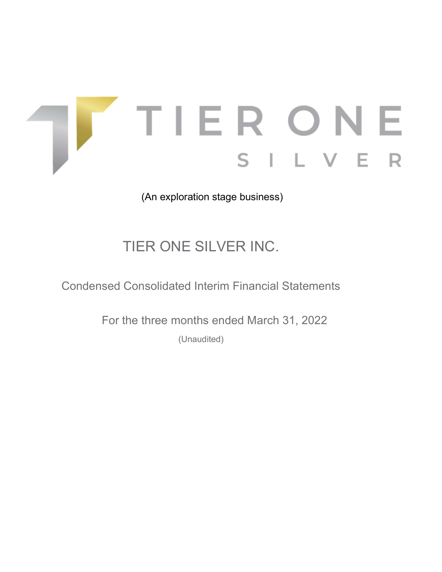

(An exploration stage business)

# TIER ONE SILVER INC.

Condensed Consolidated Interim Financial Statements

For the three months ended March 31, 2022

(Unaudited)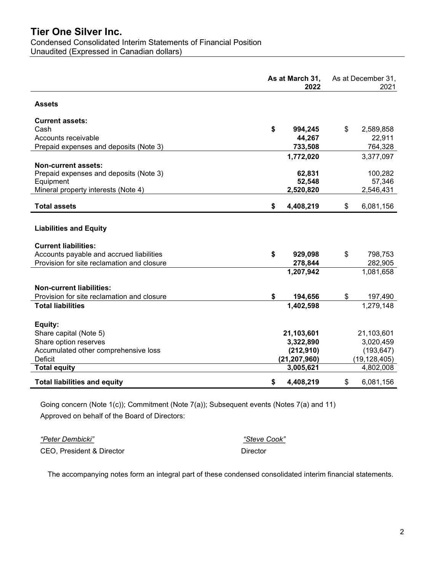# Tier One Silver Inc. Condensed Consolidated Interim Statements of Financial Position Unaudited (Expressed in Canadian dollars)

|                                            | As at March 31,<br>2022 | As at December 31,<br>2021 |
|--------------------------------------------|-------------------------|----------------------------|
| <b>Assets</b>                              |                         |                            |
| <b>Current assets:</b>                     |                         |                            |
| Cash                                       | \$<br>994,245           | \$<br>2,589,858            |
| Accounts receivable                        | 44,267                  | 22,911                     |
| Prepaid expenses and deposits (Note 3)     | 733,508                 | 764,328                    |
|                                            | 1,772,020               | 3,377,097                  |
| Non-current assets:                        |                         |                            |
| Prepaid expenses and deposits (Note 3)     | 62,831                  | 100,282                    |
| Equipment                                  | 52,548                  | 57,346                     |
| Mineral property interests (Note 4)        | 2,520,820               | 2,546,431                  |
| <b>Total assets</b>                        | \$<br>4,408,219         | \$<br>6,081,156            |
| <b>Liabilities and Equity</b>              |                         |                            |
| <b>Current liabilities:</b>                |                         |                            |
| Accounts payable and accrued liabilities   | \$<br>929,098           | \$<br>798,753              |
| Provision for site reclamation and closure | 278,844                 | 282,905                    |
|                                            | 1,207,942               | 1,081,658                  |
| <b>Non-current liabilities:</b>            |                         |                            |
| Provision for site reclamation and closure | \$<br>194,656           | \$<br>197,490              |
| <b>Total liabilities</b>                   | 1,402,598               | 1,279,148                  |
|                                            |                         |                            |
| Equity:                                    |                         |                            |
| Share capital (Note 5)                     | 21,103,601              | 21,103,601                 |
| Share option reserves                      | 3,322,890               | 3,020,459                  |
| Accumulated other comprehensive loss       | (212, 910)              | (193, 647)                 |
| <b>Deficit</b>                             | (21, 207, 960)          | (19, 128, 405)             |
| <b>Total equity</b>                        | 3,005,621               | 4,802,008                  |
| <b>Total liabilities and equity</b>        | \$<br>4,408,219         | \$<br>6,081,156            |

Going concern (Note 1(c)); Commitment (Note 7(a)); Subsequent events (Notes 7(a) and 11) Approved on behalf of the Board of Directors:

"Peter Dembicki" "Steve Cook" CEO, President & Director Director Director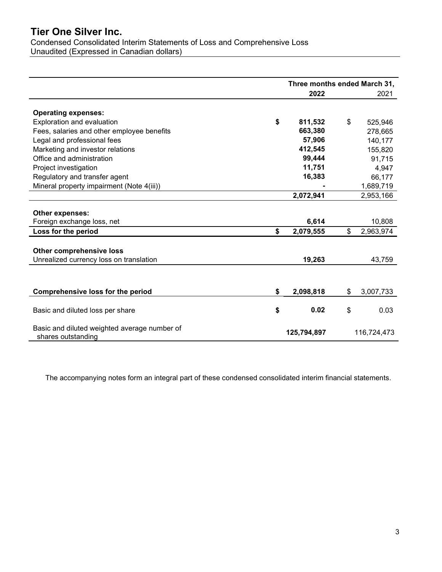Condensed Consolidated Interim Statements of Loss and Comprehensive Loss Unaudited (Expressed in Canadian dollars)

|                                              |             | Three months ended March 31, |             |           |  |
|----------------------------------------------|-------------|------------------------------|-------------|-----------|--|
|                                              |             | 2022                         |             | 2021      |  |
| <b>Operating expenses:</b>                   |             |                              |             |           |  |
| <b>Exploration and evaluation</b>            | \$          | 811,532                      | \$          | 525,946   |  |
| Fees, salaries and other employee benefits   |             | 663,380                      |             | 278,665   |  |
| Legal and professional fees                  |             | 57,906                       |             | 140,177   |  |
| Marketing and investor relations             |             | 412,545                      |             | 155,820   |  |
| Office and administration                    |             | 99,444                       |             | 91,715    |  |
| Project investigation                        |             | 11,751                       |             | 4,947     |  |
| Regulatory and transfer agent                |             | 16,383                       |             | 66,177    |  |
| Mineral property impairment (Note 4(iii))    |             |                              |             | 1,689,719 |  |
|                                              |             | 2,072,941                    |             | 2,953,166 |  |
|                                              |             |                              |             |           |  |
| Other expenses:                              |             |                              |             |           |  |
| Foreign exchange loss, net                   |             | 6,614                        |             | 10,808    |  |
| Loss for the period                          | \$          | 2,079,555                    | \$          | 2,963,974 |  |
|                                              |             |                              |             |           |  |
| <b>Other comprehensive loss</b>              |             |                              |             |           |  |
| Unrealized currency loss on translation      |             | 19,263                       |             | 43,759    |  |
|                                              |             |                              |             |           |  |
|                                              |             |                              |             |           |  |
| <b>Comprehensive loss for the period</b>     | \$          | 2,098,818                    | \$          | 3,007,733 |  |
|                                              |             |                              |             |           |  |
| Basic and diluted loss per share             | \$          | 0.02                         | \$          | 0.03      |  |
| Basic and diluted weighted average number of | 125,794,897 |                              | 116,724,473 |           |  |
| shares outstanding                           |             |                              |             |           |  |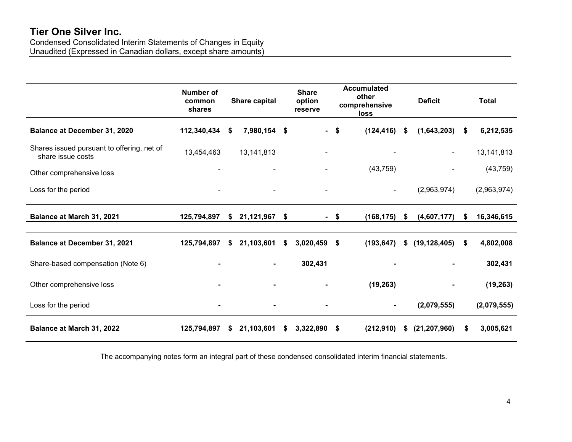Condensed Consolidated Interim Statements of Changes in Equity Unaudited (Expressed in Canadian dollars, except share amounts)

|                                                                 | Number of<br>common<br>shares |    | Share capital |    | <b>Share</b><br>option<br>reserve |      | <b>Accumulated</b><br>other<br>comprehensive<br>loss |      | <b>Deficit</b> |      | <b>Total</b> |
|-----------------------------------------------------------------|-------------------------------|----|---------------|----|-----------------------------------|------|------------------------------------------------------|------|----------------|------|--------------|
| <b>Balance at December 31, 2020</b>                             | 112,340,434                   | \$ | 7,980,154     | \$ | $\blacksquare$                    | -\$  | (124, 416)                                           | - \$ | (1,643,203)    | - \$ | 6,212,535    |
| Shares issued pursuant to offering, net of<br>share issue costs | 13,454,463                    |    | 13,141,813    |    |                                   |      |                                                      |      |                |      | 13, 141, 813 |
| Other comprehensive loss                                        |                               |    |               |    |                                   |      | (43, 759)                                            |      |                |      | (43, 759)    |
| Loss for the period                                             |                               |    |               |    |                                   |      | $\blacksquare$                                       |      | (2,963,974)    |      | (2,963,974)  |
| Balance at March 31, 2021                                       | 125,794,897                   | \$ | 21,121,967    | \$ |                                   | - \$ | (168, 175)                                           | \$   | (4,607,177)    | S.   | 16,346,615   |
| <b>Balance at December 31, 2021</b>                             | 125,794,897                   | S  | 21,103,601    | S  | 3,020,459                         | \$   | (193, 647)                                           | S    | (19, 128, 405) | S    | 4,802,008    |
| Share-based compensation (Note 6)                               |                               |    |               |    | 302,431                           |      |                                                      |      |                |      | 302,431      |
| Other comprehensive loss                                        |                               |    |               |    |                                   |      | (19, 263)                                            |      |                |      | (19, 263)    |
| Loss for the period                                             |                               |    |               |    |                                   |      |                                                      |      | (2,079,555)    |      | (2,079,555)  |
| Balance at March 31, 2022                                       | 125,794,897                   | \$ | 21,103,601    | S. | 3,322,890                         | \$   | (212,910)                                            | \$   | (21, 207, 960) | S    | 3,005,621    |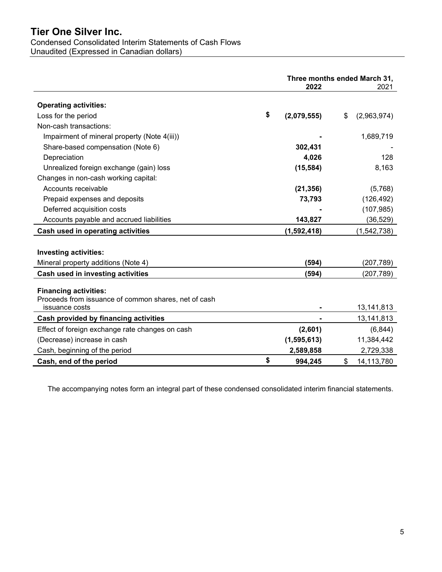# Condensed Consolidated Interim Statements of Cash Flows

Unaudited (Expressed in Canadian dollars)

|                                                                                                        | Three months ended March 31,<br>2022<br>2021 |                   |  |
|--------------------------------------------------------------------------------------------------------|----------------------------------------------|-------------------|--|
| <b>Operating activities:</b>                                                                           |                                              |                   |  |
| Loss for the period                                                                                    | \$<br>(2,079,555)                            | \$<br>(2,963,974) |  |
| Non-cash transactions:                                                                                 |                                              |                   |  |
| Impairment of mineral property (Note 4(iii))                                                           |                                              | 1,689,719         |  |
| Share-based compensation (Note 6)                                                                      | 302,431                                      |                   |  |
| Depreciation                                                                                           | 4,026                                        | 128               |  |
| Unrealized foreign exchange (gain) loss                                                                | (15, 584)                                    | 8,163             |  |
| Changes in non-cash working capital:                                                                   |                                              |                   |  |
| Accounts receivable                                                                                    | (21, 356)                                    | (5,768)           |  |
| Prepaid expenses and deposits                                                                          | 73,793                                       | (126, 492)        |  |
| Deferred acquisition costs                                                                             |                                              | (107, 985)        |  |
| Accounts payable and accrued liabilities                                                               | 143,827                                      | (36, 529)         |  |
| Cash used in operating activities                                                                      | (1, 592, 418)                                | (1, 542, 738)     |  |
|                                                                                                        |                                              |                   |  |
| Investing activities:                                                                                  |                                              |                   |  |
| Mineral property additions (Note 4)                                                                    | (594)                                        | (207, 789)        |  |
| Cash used in investing activities                                                                      | (594)                                        | (207, 789)        |  |
| <b>Financing activities:</b><br>Proceeds from issuance of common shares, net of cash<br>issuance costs |                                              | 13, 141, 813      |  |
| Cash provided by financing activities                                                                  |                                              | 13, 141, 813      |  |
| Effect of foreign exchange rate changes on cash                                                        | (2,601)                                      | (6, 844)          |  |
| (Decrease) increase in cash                                                                            | (1, 595, 613)                                | 11,384,442        |  |
| Cash, beginning of the period                                                                          | 2,589,858                                    | 2,729,338         |  |
| Cash, end of the period                                                                                | \$<br>994,245                                | \$<br>14,113,780  |  |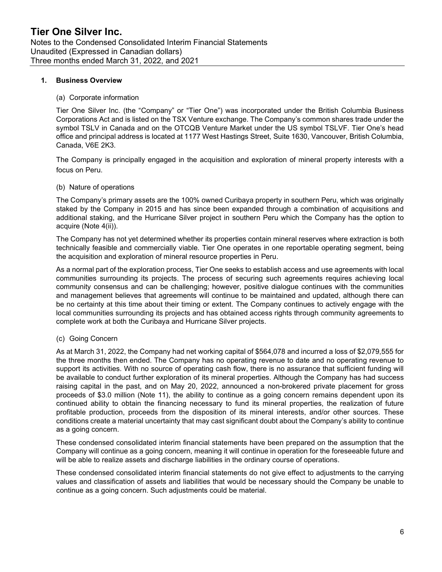#### 1. Business Overview

#### (a) Corporate information

Tier One Silver Inc. (the "Company" or "Tier One") was incorporated under the British Columbia Business Corporations Act and is listed on the TSX Venture exchange. The Company's common shares trade under the symbol TSLV in Canada and on the OTCQB Venture Market under the US symbol TSLVF. Tier One's head office and principal address is located at 1177 West Hastings Street, Suite 1630, Vancouver, British Columbia, Canada, V6E 2K3.

The Company is principally engaged in the acquisition and exploration of mineral property interests with a focus on Peru.

# (b) Nature of operations

The Company's primary assets are the 100% owned Curibaya property in southern Peru, which was originally staked by the Company in 2015 and has since been expanded through a combination of acquisitions and additional staking, and the Hurricane Silver project in southern Peru which the Company has the option to acquire (Note 4(ii)).

The Company has not yet determined whether its properties contain mineral reserves where extraction is both technically feasible and commercially viable. Tier One operates in one reportable operating segment, being the acquisition and exploration of mineral resource properties in Peru.

As a normal part of the exploration process, Tier One seeks to establish access and use agreements with local communities surrounding its projects. The process of securing such agreements requires achieving local community consensus and can be challenging; however, positive dialogue continues with the communities and management believes that agreements will continue to be maintained and updated, although there can be no certainty at this time about their timing or extent. The Company continues to actively engage with the local communities surrounding its projects and has obtained access rights through community agreements to complete work at both the Curibaya and Hurricane Silver projects.

# (c) Going Concern

As at March 31, 2022, the Company had net working capital of \$564,078 and incurred a loss of \$2,079,555 for the three months then ended. The Company has no operating revenue to date and no operating revenue to support its activities. With no source of operating cash flow, there is no assurance that sufficient funding will be available to conduct further exploration of its mineral properties. Although the Company has had success raising capital in the past, and on May 20, 2022, announced a non-brokered private placement for gross proceeds of \$3.0 million (Note 11), the ability to continue as a going concern remains dependent upon its continued ability to obtain the financing necessary to fund its mineral properties, the realization of future profitable production, proceeds from the disposition of its mineral interests, and/or other sources. These conditions create a material uncertainty that may cast significant doubt about the Company's ability to continue as a going concern.

These condensed consolidated interim financial statements have been prepared on the assumption that the Company will continue as a going concern, meaning it will continue in operation for the foreseeable future and will be able to realize assets and discharge liabilities in the ordinary course of operations.

These condensed consolidated interim financial statements do not give effect to adjustments to the carrying values and classification of assets and liabilities that would be necessary should the Company be unable to continue as a going concern. Such adjustments could be material.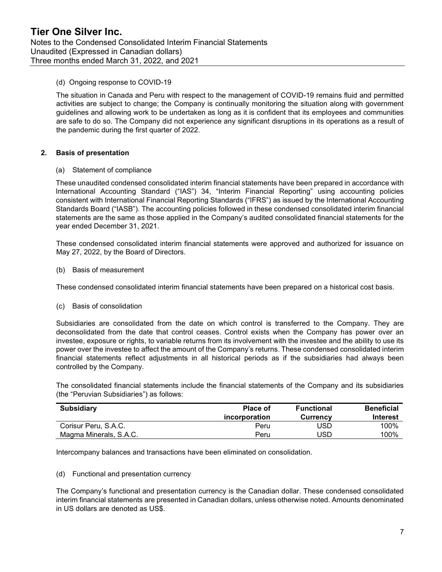# (d) Ongoing response to COVID-19

The situation in Canada and Peru with respect to the management of COVID-19 remains fluid and permitted activities are subject to change; the Company is continually monitoring the situation along with government guidelines and allowing work to be undertaken as long as it is confident that its employees and communities are safe to do so. The Company did not experience any significant disruptions in its operations as a result of the pandemic during the first quarter of 2022.

# 2. Basis of presentation

(a) Statement of compliance

These unaudited condensed consolidated interim financial statements have been prepared in accordance with International Accounting Standard ("IAS") 34, "Interim Financial Reporting" using accounting policies consistent with International Financial Reporting Standards ("IFRS") as issued by the International Accounting Standards Board ("IASB"). The accounting policies followed in these condensed consolidated interim financial statements are the same as those applied in the Company's audited consolidated financial statements for the year ended December 31, 2021.

These condensed consolidated interim financial statements were approved and authorized for issuance on May 27, 2022, by the Board of Directors.

(b) Basis of measurement

These condensed consolidated interim financial statements have been prepared on a historical cost basis.

(c) Basis of consolidation

Subsidiaries are consolidated from the date on which control is transferred to the Company. They are deconsolidated from the date that control ceases. Control exists when the Company has power over an investee, exposure or rights, to variable returns from its involvement with the investee and the ability to use its power over the investee to affect the amount of the Company's returns. These condensed consolidated interim financial statements reflect adjustments in all historical periods as if the subsidiaries had always been controlled by the Company.

The consolidated financial statements include the financial statements of the Company and its subsidiaries (the "Peruvian Subsidiaries") as follows:

| <b>Subsidiary</b>      | Place of<br>incorporation | <b>Functional</b><br><b>Currency</b> | <b>Beneficial</b><br>Interest |
|------------------------|---------------------------|--------------------------------------|-------------------------------|
| Corisur Peru, S.A.C.   | Peru                      | USD                                  | 100%                          |
| Magma Minerals, S.A.C. | Peru                      | USD                                  | 100%                          |

Intercompany balances and transactions have been eliminated on consolidation.

#### (d) Functional and presentation currency

The Company's functional and presentation currency is the Canadian dollar. These condensed consolidated interim financial statements are presented in Canadian dollars, unless otherwise noted. Amounts denominated in US dollars are denoted as US\$.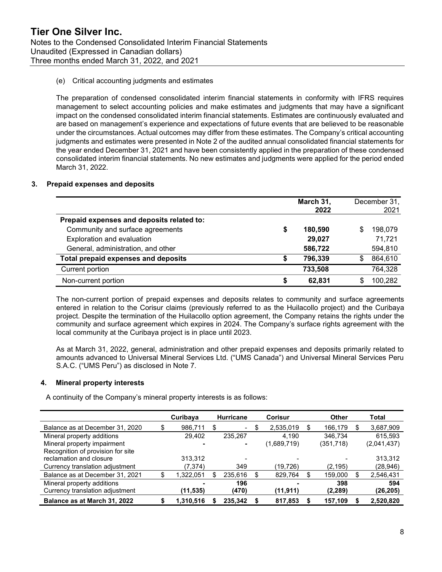# (e) Critical accounting judgments and estimates

The preparation of condensed consolidated interim financial statements in conformity with IFRS requires management to select accounting policies and make estimates and judgments that may have a significant impact on the condensed consolidated interim financial statements. Estimates are continuously evaluated and are based on management's experience and expectations of future events that are believed to be reasonable under the circumstances. Actual outcomes may differ from these estimates. The Company's critical accounting judgments and estimates were presented in Note 2 of the audited annual consolidated financial statements for the year ended December 31, 2021 and have been consistently applied in the preparation of these condensed consolidated interim financial statements. No new estimates and judgments were applied for the period ended March 31, 2022.

# 3. Prepaid expenses and deposits

|                                            |   | March 31,<br>2022 |    | December 31,<br>2021 |
|--------------------------------------------|---|-------------------|----|----------------------|
| Prepaid expenses and deposits related to:  |   |                   |    |                      |
| Community and surface agreements           | S | 180,590           | \$ | 198,079              |
| Exploration and evaluation                 |   | 29,027            |    | 71,721               |
| General, administration, and other         |   | 586,722           |    | 594,810              |
| <b>Total prepaid expenses and deposits</b> | S | 796,339           | \$ | 864,610              |
| Current portion                            |   | 733,508           |    | 764,328              |
| Non-current portion                        | S | 62,831            | S  | 100,282              |

The non-current portion of prepaid expenses and deposits relates to community and surface agreements entered in relation to the Corisur claims (previously referred to as the Huilacollo project) and the Curibaya project. Despite the termination of the Huilacollo option agreement, the Company retains the rights under the community and surface agreement which expires in 2024. The Company's surface rights agreement with the local community at the Curibaya project is in place until 2023.

As at March 31, 2022, general, administration and other prepaid expenses and deposits primarily related to amounts advanced to Universal Mineral Services Ltd. ("UMS Canada") and Universal Mineral Services Peru S.A.C. ("UMS Peru") as disclosed in Note 7.

# 4. Mineral property interests

A continuity of the Company's mineral property interests is as follows:

|                                   | Curibaya  |   | <b>Hurricane</b>         |   | Corisur     | <b>Other</b> | Total       |
|-----------------------------------|-----------|---|--------------------------|---|-------------|--------------|-------------|
| Balance as at December 31, 2020   | 986.711   | S | $\blacksquare$           | S | 2,535,019   | 166.179      | 3,687,909   |
| Mineral property additions        | 29.402    |   | 235,267                  |   | 4.190       | 346.734      | 615,593     |
| Mineral property impairment       |           |   | ۰                        |   | (1,689,719) | (351,718)    | (2,041,437) |
| Recognition of provision for site |           |   |                          |   |             |              |             |
| reclamation and closure           | 313.312   |   | $\overline{\phantom{0}}$ |   |             |              | 313,312     |
| Currency translation adjustment   | (7,374)   |   | 349                      |   | (19.726)    | (2,195)      | (28,946)    |
| Balance as at December 31, 2021   | .322.051  |   | 235.616                  |   | 829.764     | 159,000      | 2,546,431   |
| Mineral property additions        |           |   | 196                      |   |             | 398          | 594         |
| Currency translation adjustment   | (11,535)  |   | (470)                    |   | (11,911)    | (2, 289)     | (26,205)    |
| Balance as at March 31, 2022      | 1,310,516 |   | 235.342                  |   | 817,853     | 157,109      | 2,520,820   |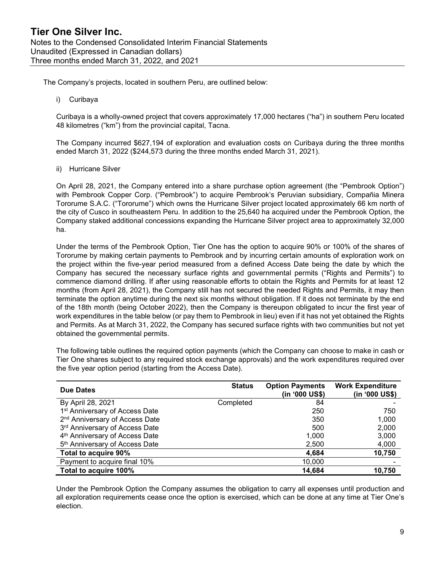The Company's projects, located in southern Peru, are outlined below:

i) Curibaya

Curibaya is a wholly-owned project that covers approximately 17,000 hectares ("ha") in southern Peru located 48 kilometres ("km") from the provincial capital, Tacna.

The Company incurred \$627,194 of exploration and evaluation costs on Curibaya during the three months ended March 31, 2022 (\$244,573 during the three months ended March 31, 2021).

ii) Hurricane Silver

On April 28, 2021, the Company entered into a share purchase option agreement (the "Pembrook Option") with Pembrook Copper Corp. ("Pembrook") to acquire Pembrook's Peruvian subsidiary, Compañia Minera Tororume S.A.C. ("Tororume") which owns the Hurricane Silver project located approximately 66 km north of the city of Cusco in southeastern Peru. In addition to the 25,640 ha acquired under the Pembrook Option, the Company staked additional concessions expanding the Hurricane Silver project area to approximately 32,000 ha.

Under the terms of the Pembrook Option, Tier One has the option to acquire 90% or 100% of the shares of Tororume by making certain payments to Pembrook and by incurring certain amounts of exploration work on the project within the five-year period measured from a defined Access Date being the date by which the Company has secured the necessary surface rights and governmental permits ("Rights and Permits") to commence diamond drilling. If after using reasonable efforts to obtain the Rights and Permits for at least 12 months (from April 28, 2021), the Company still has not secured the needed Rights and Permits, it may then terminate the option anytime during the next six months without obligation. If it does not terminate by the end of the 18th month (being October 2022), then the Company is thereupon obligated to incur the first year of work expenditures in the table below (or pay them to Pembrook in lieu) even if it has not yet obtained the Rights and Permits. As at March 31, 2022, the Company has secured surface rights with two communities but not yet obtained the governmental permits.

The following table outlines the required option payments (which the Company can choose to make in cash or Tier One shares subject to any required stock exchange approvals) and the work expenditures required over the five year option period (starting from the Access Date).

| <b>Due Dates</b>                           | <b>Status</b> | <b>Option Payments</b><br>(in '000 US\$) | <b>Work Expenditure</b><br>(in '000 US\$) |
|--------------------------------------------|---------------|------------------------------------------|-------------------------------------------|
| By April 28, 2021                          | Completed     | 84                                       |                                           |
| 1 <sup>st</sup> Anniversary of Access Date |               | 250                                      | 750                                       |
| 2 <sup>nd</sup> Anniversary of Access Date |               | 350                                      | 1,000                                     |
| 3rd Anniversary of Access Date             |               | 500                                      | 2,000                                     |
| 4 <sup>th</sup> Anniversary of Access Date |               | 1,000                                    | 3,000                                     |
| 5 <sup>th</sup> Anniversary of Access Date |               | 2,500                                    | 4,000                                     |
| Total to acquire 90%                       |               | 4,684                                    | 10,750                                    |
| Payment to acquire final 10%               |               | 10,000                                   |                                           |
| Total to acquire 100%                      |               | 14,684                                   | 10,750                                    |

Under the Pembrook Option the Company assumes the obligation to carry all expenses until production and all exploration requirements cease once the option is exercised, which can be done at any time at Tier One's election.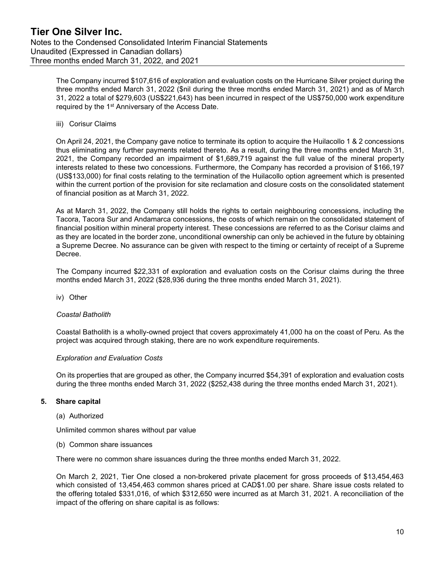The Company incurred \$107,616 of exploration and evaluation costs on the Hurricane Silver project during the three months ended March 31, 2022 (\$nil during the three months ended March 31, 2021) and as of March 31, 2022 a total of \$279,603 (US\$221,643) has been incurred in respect of the US\$750,000 work expenditure required by the 1<sup>st</sup> Anniversary of the Access Date.

iii) Corisur Claims

On April 24, 2021, the Company gave notice to terminate its option to acquire the Huilacollo 1 & 2 concessions thus eliminating any further payments related thereto. As a result, during the three months ended March 31, 2021, the Company recorded an impairment of \$1,689,719 against the full value of the mineral property interests related to these two concessions. Furthermore, the Company has recorded a provision of \$166,197 (US\$133,000) for final costs relating to the termination of the Huilacollo option agreement which is presented within the current portion of the provision for site reclamation and closure costs on the consolidated statement of financial position as at March 31, 2022.

As at March 31, 2022, the Company still holds the rights to certain neighbouring concessions, including the Tacora, Tacora Sur and Andamarca concessions, the costs of which remain on the consolidated statement of financial position within mineral property interest. These concessions are referred to as the Corisur claims and as they are located in the border zone, unconditional ownership can only be achieved in the future by obtaining a Supreme Decree. No assurance can be given with respect to the timing or certainty of receipt of a Supreme Decree.

The Company incurred \$22,331 of exploration and evaluation costs on the Corisur claims during the three months ended March 31, 2022 (\$28,936 during the three months ended March 31, 2021).

iv) Other

# Coastal Batholith

Coastal Batholith is a wholly-owned project that covers approximately 41,000 ha on the coast of Peru. As the project was acquired through staking, there are no work expenditure requirements.

# Exploration and Evaluation Costs

On its properties that are grouped as other, the Company incurred \$54,391 of exploration and evaluation costs during the three months ended March 31, 2022 (\$252,438 during the three months ended March 31, 2021).

# 5. Share capital

#### (a) Authorized

Unlimited common shares without par value

(b) Common share issuances

There were no common share issuances during the three months ended March 31, 2022.

On March 2, 2021, Tier One closed a non-brokered private placement for gross proceeds of \$13,454,463 which consisted of 13,454,463 common shares priced at CAD\$1.00 per share. Share issue costs related to the offering totaled \$331,016, of which \$312,650 were incurred as at March 31, 2021. A reconciliation of the impact of the offering on share capital is as follows: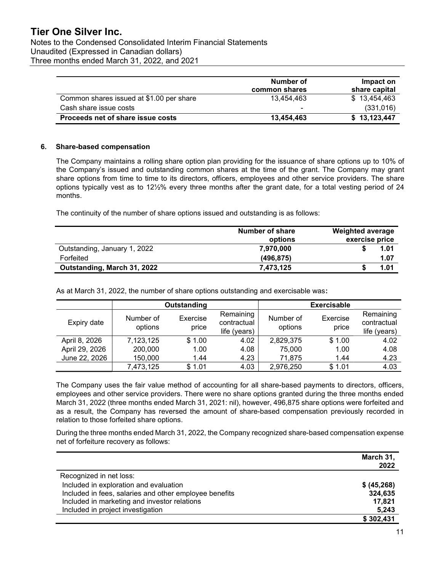Notes to the Condensed Consolidated Interim Financial Statements Unaudited (Expressed in Canadian dollars) Three months ended March 31, 2022, and 2021

|                                          | Number of<br>common shares | Impact on<br>share capital |
|------------------------------------------|----------------------------|----------------------------|
| Common shares issued at \$1.00 per share | 13.454.463                 | \$13,454,463               |
| Cash share issue costs                   | $\blacksquare$             | (331, 016)                 |
| Proceeds net of share issue costs        | 13,454,463                 | \$13,123,447               |

# 6. Share-based compensation

The Company maintains a rolling share option plan providing for the issuance of share options up to 10% of the Company's issued and outstanding common shares at the time of the grant. The Company may grant share options from time to time to its directors, officers, employees and other service providers. The share options typically vest as to 12½% every three months after the grant date, for a total vesting period of 24 months.

The continuity of the number of share options issued and outstanding is as follows:

|                              | Number of share<br>options | <b>Weighted average</b><br>exercise price |
|------------------------------|----------------------------|-------------------------------------------|
| Outstanding, January 1, 2022 | 7,970,000                  | 1.01                                      |
| Forfeited                    | (496, 875)                 | 1.07                                      |
| Outstanding, March 31, 2022  | 7.473.125                  | 1.01                                      |

As at March 31, 2022, the number of share options outstanding and exercisable was:

|                |                      | Outstanding       |                                          |                      | <b>Exercisable</b> |                                          |
|----------------|----------------------|-------------------|------------------------------------------|----------------------|--------------------|------------------------------------------|
| Expiry date    | Number of<br>options | Exercise<br>price | Remaining<br>contractual<br>life (years) | Number of<br>options | Exercise<br>price  | Remaining<br>contractual<br>life (years) |
| April 8, 2026  | 7,123,125            | \$1.00            | 4.02                                     | 2,829,375            | \$1.00             | 4.02                                     |
| April 29, 2026 | 200,000              | 1.00              | 4.08                                     | 75,000               | 1.00               | 4.08                                     |
| June 22, 2026  | 150,000              | 1.44              | 4.23                                     | 71,875               | 1.44               | 4.23                                     |
|                | 7,473,125            | \$1.01            | 4.03                                     | 2,976,250            | \$1.01             | 4.03                                     |

The Company uses the fair value method of accounting for all share-based payments to directors, officers, employees and other service providers. There were no share options granted during the three months ended March 31, 2022 (three months ended March 31, 2021: nil), however, 496,875 share options were forfeited and as a result, the Company has reversed the amount of share-based compensation previously recorded in relation to those forfeited share options.

During the three months ended March 31, 2022, the Company recognized share-based compensation expense net of forfeiture recovery as follows:

|                                                        | March 31,<br>2022 |
|--------------------------------------------------------|-------------------|
| Recognized in net loss:                                |                   |
| Included in exploration and evaluation                 | \$ (45, 268)      |
| Included in fees, salaries and other employee benefits | 324,635           |
| Included in marketing and investor relations           | 17,821            |
| Included in project investigation                      | 5,243             |
|                                                        | \$302,431         |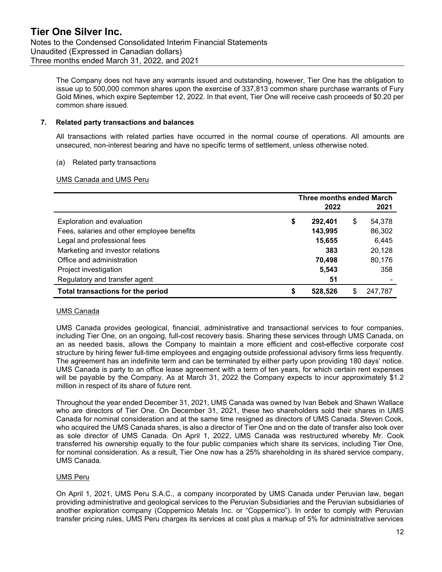The Company does not have any warrants issued and outstanding, however, Tier One has the obligation to issue up to 500,000 common shares upon the exercise of 337,813 common share purchase warrants of Fury Gold Mines, which expire September 12, 2022. In that event, Tier One will receive cash proceeds of \$0.20 per common share issued.

# 7. Related party transactions and balances

All transactions with related parties have occurred in the normal course of operations. All amounts are unsecured, non-interest bearing and have no specific terms of settlement, unless otherwise noted.

# (a) Related party transactions

# UMS Canada and UMS Peru

|                                            | <b>Three months ended March</b> |         |   |         |
|--------------------------------------------|---------------------------------|---------|---|---------|
|                                            |                                 | 2022    |   | 2021    |
| Exploration and evaluation                 | \$                              | 292,401 | S | 54,378  |
| Fees, salaries and other employee benefits |                                 | 143,995 |   | 86,302  |
| Legal and professional fees                |                                 | 15,655  |   | 6,445   |
| Marketing and investor relations           |                                 | 383     |   | 20,128  |
| Office and administration                  |                                 | 70.498  |   | 80,176  |
| Project investigation                      |                                 | 5,543   |   | 358     |
| Regulatory and transfer agent              |                                 | 51      |   |         |
| Total transactions for the period          | \$                              | 528.526 |   | 247.787 |

# UMS Canada

UMS Canada provides geological, financial, administrative and transactional services to four companies, including Tier One, on an ongoing, full-cost recovery basis. Sharing these services through UMS Canada, on an as needed basis, allows the Company to maintain a more efficient and cost-effective corporate cost structure by hiring fewer full-time employees and engaging outside professional advisory firms less frequently. The agreement has an indefinite term and can be terminated by either party upon providing 180 days' notice. UMS Canada is party to an office lease agreement with a term of ten years, for which certain rent expenses will be payable by the Company. As at March 31, 2022 the Company expects to incur approximately \$1.2 million in respect of its share of future rent.

Throughout the year ended December 31, 2021, UMS Canada was owned by Ivan Bebek and Shawn Wallace who are directors of Tier One. On December 31, 2021, these two shareholders sold their shares in UMS Canada for nominal consideration and at the same time resigned as directors of UMS Canada. Steven Cook, who acquired the UMS Canada shares, is also a director of Tier One and on the date of transfer also took over as sole director of UMS Canada. On April 1, 2022, UMS Canada was restructured whereby Mr. Cook transferred his ownership equally to the four public companies which share its services, including Tier One, for nominal consideration. As a result, Tier One now has a 25% shareholding in its shared service company, UMS Canada.

#### UMS Peru

On April 1, 2021, UMS Peru S.A.C., a company incorporated by UMS Canada under Peruvian law, began providing administrative and geological services to the Peruvian Subsidiaries and the Peruvian subsidiaries of another exploration company (Coppernico Metals Inc. or "Coppernico"). In order to comply with Peruvian transfer pricing rules, UMS Peru charges its services at cost plus a markup of 5% for administrative services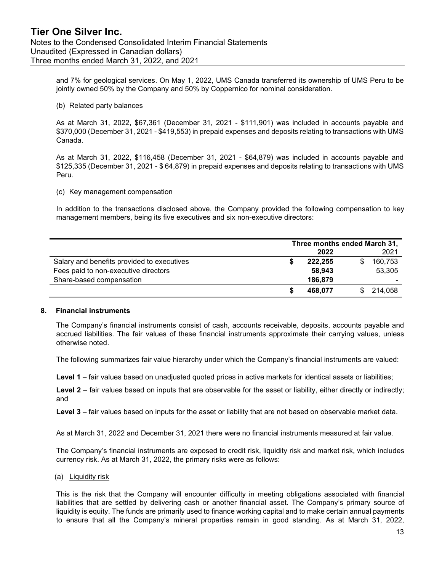and 7% for geological services. On May 1, 2022, UMS Canada transferred its ownership of UMS Peru to be jointly owned 50% by the Company and 50% by Coppernico for nominal consideration.

#### (b) Related party balances

As at March 31, 2022, \$67,361 (December 31, 2021 - \$111,901) was included in accounts payable and \$370,000 (December 31, 2021 - \$419,553) in prepaid expenses and deposits relating to transactions with UMS Canada.

As at March 31, 2022, \$116,458 (December 31, 2021 - \$64,879) was included in accounts payable and \$125,335 (December 31, 2021 - \$ 64,879) in prepaid expenses and deposits relating to transactions with UMS Peru.

#### (c) Key management compensation

In addition to the transactions disclosed above, the Company provided the following compensation to key management members, being its five executives and six non-executive directors:

|                                            | Three months ended March 31, |         |    |         |
|--------------------------------------------|------------------------------|---------|----|---------|
|                                            |                              | 2022    |    | 2021    |
| Salary and benefits provided to executives |                              | 222.255 |    | 160,753 |
| Fees paid to non-executive directors       |                              | 58,943  |    | 53,305  |
| Share-based compensation                   |                              | 186,879 |    | -       |
|                                            |                              | 468.077 | S. | 214.058 |

#### 8. Financial instruments

The Company's financial instruments consist of cash, accounts receivable, deposits, accounts payable and accrued liabilities. The fair values of these financial instruments approximate their carrying values, unless otherwise noted.

The following summarizes fair value hierarchy under which the Company's financial instruments are valued:

Level 1 – fair values based on unadjusted quoted prices in active markets for identical assets or liabilities;

Level 2 – fair values based on inputs that are observable for the asset or liability, either directly or indirectly; and

Level 3 – fair values based on inputs for the asset or liability that are not based on observable market data.

As at March 31, 2022 and December 31, 2021 there were no financial instruments measured at fair value.

The Company's financial instruments are exposed to credit risk, liquidity risk and market risk, which includes currency risk. As at March 31, 2022, the primary risks were as follows:

(a) Liquidity risk

This is the risk that the Company will encounter difficulty in meeting obligations associated with financial liabilities that are settled by delivering cash or another financial asset. The Company's primary source of liquidity is equity. The funds are primarily used to finance working capital and to make certain annual payments to ensure that all the Company's mineral properties remain in good standing. As at March 31, 2022,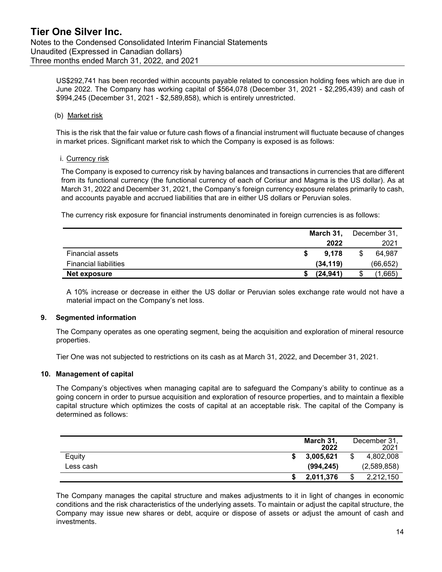US\$292,741 has been recorded within accounts payable related to concession holding fees which are due in June 2022. The Company has working capital of \$564,078 (December 31, 2021 - \$2,295,439) and cash of \$994,245 (December 31, 2021 - \$2,589,858), which is entirely unrestricted.

# (b) Market risk

This is the risk that the fair value or future cash flows of a financial instrument will fluctuate because of changes in market prices. Significant market risk to which the Company is exposed is as follows:

# i. Currency risk

The Company is exposed to currency risk by having balances and transactions in currencies that are different from its functional currency (the functional currency of each of Corisur and Magma is the US dollar). As at March 31, 2022 and December 31, 2021, the Company's foreign currency exposure relates primarily to cash, and accounts payable and accrued liabilities that are in either US dollars or Peruvian soles.

The currency risk exposure for financial instruments denominated in foreign currencies is as follows:

|                              | March 31, |  | December 31, |  |
|------------------------------|-----------|--|--------------|--|
|                              | 2022      |  | 2021         |  |
| <b>Financial assets</b>      | 9.178     |  | 64.987       |  |
| <b>Financial liabilities</b> | (34, 119) |  | (66, 652)    |  |
| Net exposure                 | (24.941)  |  | 1,665'       |  |

A 10% increase or decrease in either the US dollar or Peruvian soles exchange rate would not have a material impact on the Company's net loss.

#### 9. Segmented information

The Company operates as one operating segment, being the acquisition and exploration of mineral resource properties.

Tier One was not subjected to restrictions on its cash as at March 31, 2022, and December 31, 2021.

# 10. Management of capital

The Company's objectives when managing capital are to safeguard the Company's ability to continue as a going concern in order to pursue acquisition and exploration of resource properties, and to maintain a flexible capital structure which optimizes the costs of capital at an acceptable risk. The capital of the Company is determined as follows:

|           | March 31.  | 2022 | December 31,<br>2021 |
|-----------|------------|------|----------------------|
| Equity    | 3,005,621  |      | 4,802,008            |
| Less cash | (994, 245) |      | (2,589,858)          |
|           | 2,011,376  | \$   | 2,212,150            |

The Company manages the capital structure and makes adjustments to it in light of changes in economic conditions and the risk characteristics of the underlying assets. To maintain or adjust the capital structure, the Company may issue new shares or debt, acquire or dispose of assets or adjust the amount of cash and investments.